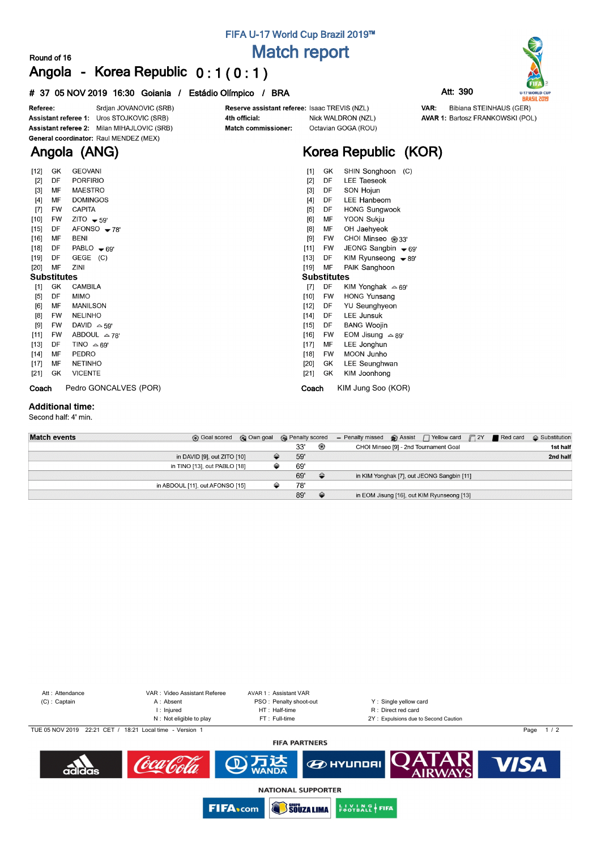## **FIFA U-17 World Cup Brazil 2019™ Match report**

### **Round of 16 Angola - Korea Republic 0 : 1 ( 0 : 1 )**

#### **# 37 05 NOV 2019 16:30 Goiania / Estádio Olímpico / BRA Att: 390**



| $[12]$             | GK        | <b>GEOVANI</b>         | $[1]$<br>SHIN Songhoon<br>(C)<br>GK             |  |  |  |  |  |  |  |
|--------------------|-----------|------------------------|-------------------------------------------------|--|--|--|--|--|--|--|
| $[2]$              | DF        | <b>PORFIRIO</b>        | $[2]$<br><b>LEE Taeseok</b><br>DF               |  |  |  |  |  |  |  |
| $[3]$              | MF        | <b>MAESTRO</b>         | $[3]$<br>SON Hojun<br>DF                        |  |  |  |  |  |  |  |
| $[4]$              | MF        | <b>DOMINGOS</b>        | <b>LEE Hanbeom</b><br>$[4]$<br>DF               |  |  |  |  |  |  |  |
| $[7]$              | <b>FW</b> | <b>CAPITA</b>          | [5]<br><b>HONG Sungwook</b><br>DF               |  |  |  |  |  |  |  |
| $[10]$             | <b>FW</b> | ZITO $-59'$            | YOON Sukju<br>[6]<br>МF                         |  |  |  |  |  |  |  |
| $[15]$             | DF        | $AFONSO - 78'$         | [8]<br>OH Jaehyeok<br>МF                        |  |  |  |  |  |  |  |
| $[16]$             | MF        | <b>BENI</b>            | $[9]$<br>CHOI Minseo @33'<br>FW                 |  |  |  |  |  |  |  |
| $[18]$             | DF        | PABLO $\bullet$ 69'    | $[11]$<br>JEONG Sangbin - 69'<br>FW             |  |  |  |  |  |  |  |
| [19]               | DF        | GEGE<br>(C)            | $[13]$<br>KIM Ryunseong $\rightarrow$ 89'<br>DF |  |  |  |  |  |  |  |
| $[20]$             | MF        | ZINI                   | [19]<br>MF<br>PAIK Sanghoon                     |  |  |  |  |  |  |  |
| <b>Substitutes</b> |           |                        | <b>Substitutes</b>                              |  |  |  |  |  |  |  |
| $[1]$              | GK        | <b>CAMBILA</b>         | $[7]$<br>DF<br>KIM Yonghak $\approx 69'$        |  |  |  |  |  |  |  |
| $[5]$              | DF        | <b>MIMO</b>            | <b>HONG Yunsang</b><br>$[10]$<br><b>FW</b>      |  |  |  |  |  |  |  |
| [6]                | MF        | <b>MANILSON</b>        | $[12]$<br>YU Seunghyeon<br>DF                   |  |  |  |  |  |  |  |
| [8]                |           |                        |                                                 |  |  |  |  |  |  |  |
|                    | <b>FW</b> | <b>NELINHO</b>         | <b>LEE Junsuk</b><br>$[14]$<br>DF               |  |  |  |  |  |  |  |
| [9]                | <b>FW</b> | DAVID $\triangle$ 59'  | <b>BANG Woojin</b><br>$[15]$<br>DF              |  |  |  |  |  |  |  |
| $[11]$             | FW        | ABDOUL $\triangle$ 78' | $[16]$<br>FW<br>EOM Jisung $\approx$ 89'        |  |  |  |  |  |  |  |
| $[13]$             | DF        | TINO $\triangle$ 69'   | LEE Jonghun<br>$[17]$<br>МF                     |  |  |  |  |  |  |  |
| $[14]$             | MF        | <b>PEDRO</b>           | MOON Junho<br>$[18]$<br><b>FW</b>               |  |  |  |  |  |  |  |
| $[17]$             | MF        | <b>NETINHO</b>         | [20]<br>LEE Seunghwan<br>GK                     |  |  |  |  |  |  |  |
| $[21]$             | GK        | <b>VICENTE</b>         | $[21]$<br>GK<br>KIM Joonhong                    |  |  |  |  |  |  |  |

#### **Additional time:**

Second half: 4' min.

| <b>Match events</b> | <b>B</b> Goal scored <b>C</b> Own goal |  | <b>R</b> Penalty scored |               | - Penalty missed $\otimes$ Assist $\bigcap$ Yellow card $\bigcap$ 2Y <b>e</b> Red card |                                            |  | $\triangle$ Substitution |
|---------------------|----------------------------------------|--|-------------------------|---------------|----------------------------------------------------------------------------------------|--------------------------------------------|--|--------------------------|
|                     |                                        |  | 33'                     | ⊛             |                                                                                        | CHOI Minseo [9] - 2nd Tournament Goal      |  | 1st half                 |
|                     | in DAVID [9], out ZITO [10]            |  | 59'                     |               |                                                                                        |                                            |  | 2nd half                 |
|                     | in TINO [13], out PABLO [18]           |  | 69'                     |               |                                                                                        |                                            |  |                          |
|                     |                                        |  | 69'                     | $\triangle$   |                                                                                        | in KIM Yonghak [7], out JEONG Sangbin [11] |  |                          |
|                     | in ABDOUL [11], out AFONSO [15]        |  | 78'                     |               |                                                                                        |                                            |  |                          |
|                     |                                        |  | 89'                     | $\Rightarrow$ |                                                                                        | in EOM Jisung [16], out KIM Ryunseong [13] |  |                          |